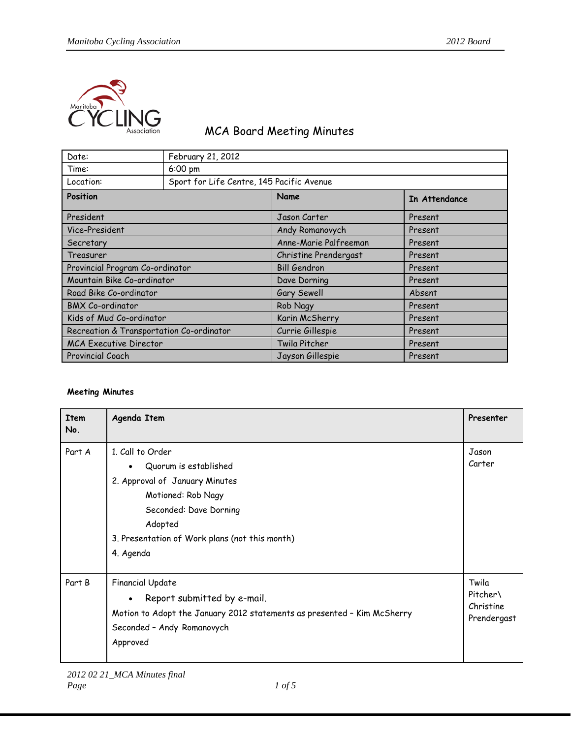

## MCA Board Meeting Minutes

| Date:                                    | February 21, 2012                         |                       |               |
|------------------------------------------|-------------------------------------------|-----------------------|---------------|
| Time:                                    | 6:00 pm                                   |                       |               |
| Location:                                | Sport for Life Centre, 145 Pacific Avenue |                       |               |
| Position                                 |                                           | Name                  | In Attendance |
| President                                |                                           | Jason Carter          | Present       |
| Vice-President                           |                                           | Andy Romanovych       | Present       |
| Secretary                                |                                           | Anne-Marie Palfreeman | Present       |
| Treasurer                                |                                           | Christine Prendergast | Present       |
| Provincial Program Co-ordinator          |                                           | <b>Bill Gendron</b>   | Present       |
| Mountain Bike Co-ordinator               |                                           | Dave Dorning          | Present       |
| Road Bike Co-ordinator                   |                                           | Gary Sewell           | Absent        |
| <b>BMX Co-ordinator</b>                  |                                           | Rob Nagy              | Present       |
| Kids of Mud Co-ordinator                 |                                           | Karin McSherry        | Present       |
| Recreation & Transportation Co-ordinator |                                           | Currie Gillespie      | Present       |
| <b>MCA Executive Director</b>            |                                           | Twila Pitcher         | Present       |
| Provincial Coach                         |                                           | Jayson Gillespie      | Present       |

## **Meeting Minutes**

| <b>Item</b><br>No. | Agenda Item                                                                                                                                                                                           | Presenter                                     |
|--------------------|-------------------------------------------------------------------------------------------------------------------------------------------------------------------------------------------------------|-----------------------------------------------|
| Part A             | 1. Call to Order<br>Quorum is established<br>2. Approval of January Minutes<br>Motioned: Rob Nagy<br>Seconded: Dave Dorning<br>Adopted<br>3. Presentation of Work plans (not this month)<br>4. Agenda | Jason<br>Carter                               |
| Part B             | <b>Financial Update</b><br>Report submitted by e-mail.<br>$\bullet$<br>Motion to Adopt the January 2012 statements as presented - Kim McSherry<br>Seconded - Andy Romanovych<br>Approved              | Twila<br>Pitcher\<br>Christine<br>Prendergast |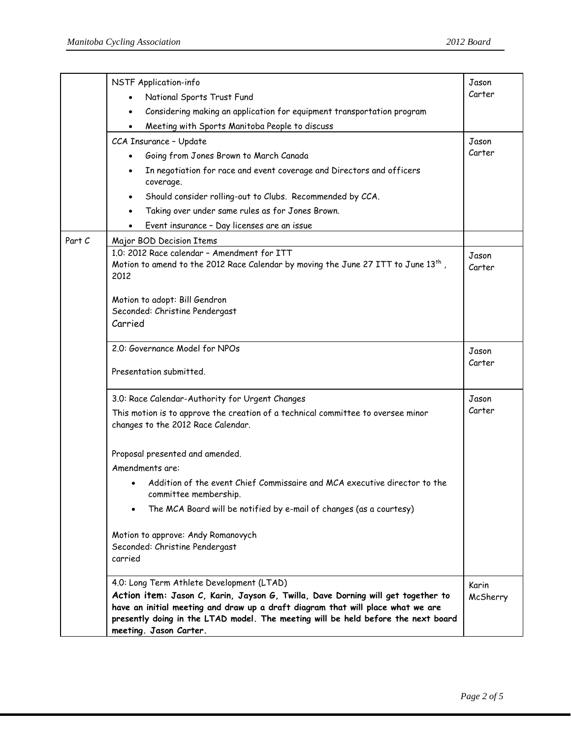|        | NSTF Application-info                                                                                                                                                                                                                                                                                 | Jason             |
|--------|-------------------------------------------------------------------------------------------------------------------------------------------------------------------------------------------------------------------------------------------------------------------------------------------------------|-------------------|
|        | National Sports Trust Fund                                                                                                                                                                                                                                                                            | Carter            |
|        | Considering making an application for equipment transportation program<br>$\bullet$                                                                                                                                                                                                                   |                   |
|        | Meeting with Sports Manitoba People to discuss                                                                                                                                                                                                                                                        |                   |
|        | CCA Insurance - Update                                                                                                                                                                                                                                                                                | Jason             |
|        | Going from Jones Brown to March Canada                                                                                                                                                                                                                                                                | Carter            |
|        | In negotiation for race and event coverage and Directors and officers<br>coverage.                                                                                                                                                                                                                    |                   |
|        | Should consider rolling-out to Clubs. Recommended by CCA.                                                                                                                                                                                                                                             |                   |
|        | Taking over under same rules as for Jones Brown.                                                                                                                                                                                                                                                      |                   |
|        | Event insurance - Day licenses are an issue                                                                                                                                                                                                                                                           |                   |
| Part C | Major BOD Decision Items                                                                                                                                                                                                                                                                              |                   |
|        | 1.0: 2012 Race calendar - Amendment for ITT                                                                                                                                                                                                                                                           | Jason             |
|        | Motion to amend to the 2012 Race Calendar by moving the June 27 ITT to June 13 <sup>th</sup> ,<br>2012                                                                                                                                                                                                | Carter            |
|        | Motion to adopt: Bill Gendron                                                                                                                                                                                                                                                                         |                   |
|        | Seconded: Christine Pendergast                                                                                                                                                                                                                                                                        |                   |
|        | Carried                                                                                                                                                                                                                                                                                               |                   |
|        |                                                                                                                                                                                                                                                                                                       |                   |
|        | 2.0: Governance Model for NPOs                                                                                                                                                                                                                                                                        | Jason             |
|        | Presentation submitted.                                                                                                                                                                                                                                                                               | Carter            |
|        | 3.0: Race Calendar-Authority for Urgent Changes                                                                                                                                                                                                                                                       | Jason             |
|        | This motion is to approve the creation of a technical committee to oversee minor<br>changes to the 2012 Race Calendar.                                                                                                                                                                                | Carter            |
|        | Proposal presented and amended.                                                                                                                                                                                                                                                                       |                   |
|        | Amendments are:                                                                                                                                                                                                                                                                                       |                   |
|        | Addition of the event Chief Commissaire and MCA executive director to the<br>committee membership.                                                                                                                                                                                                    |                   |
|        | The MCA Board will be notified by e-mail of changes (as a courtesy)                                                                                                                                                                                                                                   |                   |
|        | Motion to approve: Andy Romanovych<br>Seconded: Christine Pendergast<br>carried                                                                                                                                                                                                                       |                   |
|        | 4.0: Long Term Athlete Development (LTAD)<br>Action item: Jason C, Karin, Jayson G, Twilla, Dave Dorning will get together to<br>have an initial meeting and draw up a draft diagram that will place what we are<br>presently doing in the LTAD model. The meeting will be held before the next board | Karin<br>McSherry |
|        | meeting. Jason Carter.                                                                                                                                                                                                                                                                                |                   |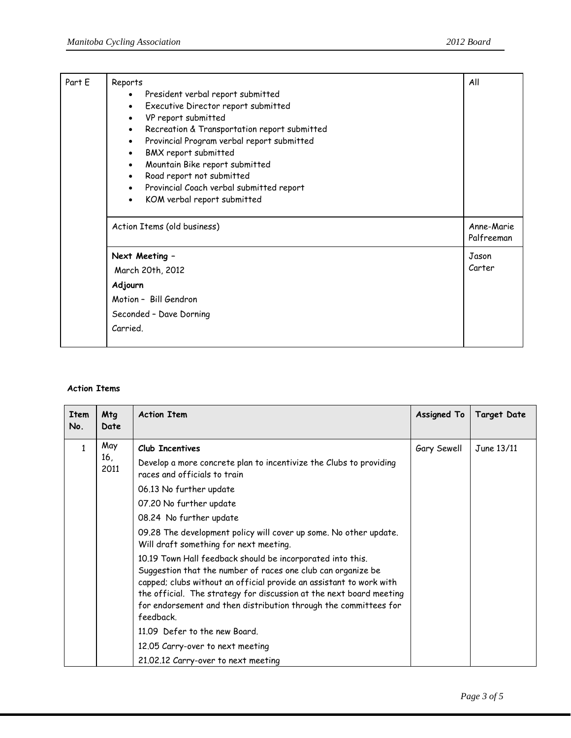| Part E | Reports<br>President verbal report submitted<br>$\bullet$<br>Executive Director report submitted<br>$\bullet$<br>VP report submitted<br>$\bullet$<br>Recreation & Transportation report submitted<br>$\bullet$<br>Provincial Program verbal report submitted<br>$\bullet$<br>BMX report submitted<br>$\bullet$<br>Mountain Bike report submitted<br>$\bullet$<br>Road report not submitted<br>$\bullet$<br>Provincial Coach verbal submitted report<br>$\bullet$<br>KOM verbal report submitted<br>$\bullet$ | All                      |
|--------|--------------------------------------------------------------------------------------------------------------------------------------------------------------------------------------------------------------------------------------------------------------------------------------------------------------------------------------------------------------------------------------------------------------------------------------------------------------------------------------------------------------|--------------------------|
|        | Action Items (old business)                                                                                                                                                                                                                                                                                                                                                                                                                                                                                  | Anne-Marie<br>Palfreeman |
|        | Next Meeting -                                                                                                                                                                                                                                                                                                                                                                                                                                                                                               | Jason                    |
|        | March 20th, 2012                                                                                                                                                                                                                                                                                                                                                                                                                                                                                             | Carter                   |
|        | Adjourn                                                                                                                                                                                                                                                                                                                                                                                                                                                                                                      |                          |
|        | Motion - Bill Gendron                                                                                                                                                                                                                                                                                                                                                                                                                                                                                        |                          |
|        | Seconded - Dave Dorning                                                                                                                                                                                                                                                                                                                                                                                                                                                                                      |                          |
|        | Carried.                                                                                                                                                                                                                                                                                                                                                                                                                                                                                                     |                          |

## **Action Items**

| <b>Item</b><br>No. | Mtg<br>Date        | <b>Action Item</b>                                                                                                                                                                                                                                                                                                                                                                                                                                                                                                                                                                                                                                                                                                                                                                             | Assigned To | <b>Target Date</b> |
|--------------------|--------------------|------------------------------------------------------------------------------------------------------------------------------------------------------------------------------------------------------------------------------------------------------------------------------------------------------------------------------------------------------------------------------------------------------------------------------------------------------------------------------------------------------------------------------------------------------------------------------------------------------------------------------------------------------------------------------------------------------------------------------------------------------------------------------------------------|-------------|--------------------|
| $\mathbf{1}$       | May<br>16,<br>2011 | Club Incentives<br>Develop a more concrete plan to incentivize the Clubs to providing<br>races and officials to train<br>06.13 No further update<br>07.20 No further update<br>08.24 No further update<br>09.28 The development policy will cover up some. No other update.<br>Will draft something for next meeting.<br>10.19 Town Hall feedback should be incorporated into this.<br>Suggestion that the number of races one club can organize be<br>capped; clubs without an official provide an assistant to work with<br>the official. The strategy for discussion at the next board meeting<br>for endorsement and then distribution through the committees for<br>feedback.<br>11.09 Defer to the new Board.<br>12.05 Carry-over to next meeting<br>21.02.12 Carry-over to next meeting | Gary Sewell | June 13/11         |